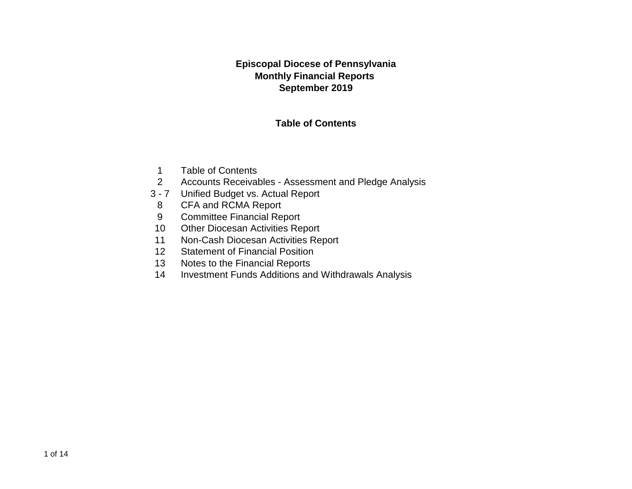#### **Episcopal Diocese of Pennsylvania Monthly Financial Reports September 2019**

#### **Table of Contents**

- 1 Table of Contents
- 2 Accounts Receivables Assessment and Pledge Analysis
- 3 7 Unified Budget vs. Actual Report
- 8 CFA and RCMA Report
- 9 Committee Financial Report
- 10 Other Diocesan Activities Report
- 11 Non-Cash Diocesan Activities Report
- 12 Statement of Financial Position
- 13 Notes to the Financial Reports
- 14 Investment Funds Additions and Withdrawals Analysis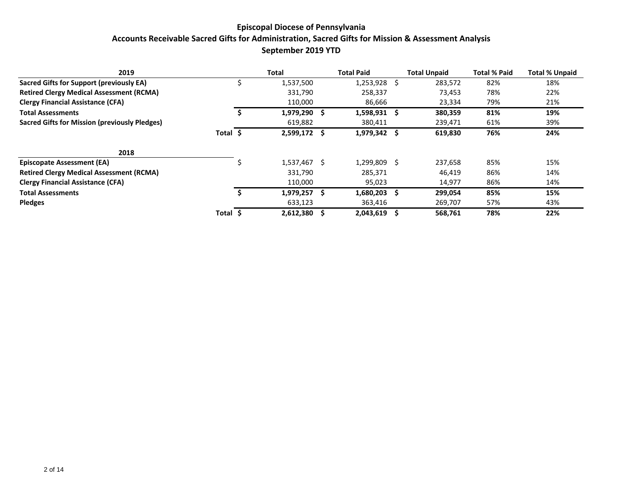#### **Episcopal Diocese of Pennsylvania Accounts Receivable Sacred Gifts for Administration, Sacred Gifts for Mission & Assessment Analysis September 2019 YTD**

| 2019                                            |       |    | Total        |   | <b>Total Paid</b> | <b>Total Unpaid</b> | <b>Total % Paid</b> | <b>Total % Unpaid</b> |
|-------------------------------------------------|-------|----|--------------|---|-------------------|---------------------|---------------------|-----------------------|
| Sacred Gifts for Support (previously EA)        |       |    | 1,537,500    |   | 1,253,928 \$      | 283,572             | 82%                 | 18%                   |
| <b>Retired Clergy Medical Assessment (RCMA)</b> |       |    | 331,790      |   | 258,337           | 73,453              | 78%                 | 22%                   |
| <b>Clergy Financial Assistance (CFA)</b>        |       |    | 110,000      |   | 86,666            | 23,334              | 79%                 | 21%                   |
| <b>Total Assessments</b>                        |       |    | 1,979,290    |   | 1,598,931 \$      | 380,359             | 81%                 | 19%                   |
| Sacred Gifts for Mission (previously Pledges)   |       |    | 619,882      |   | 380,411           | 239,471             | 61%                 | 39%                   |
|                                                 | Total | -S | 2,599,172 \$ |   | $1,979,342$ \$    | 619,830             | 76%                 | 24%                   |
| 2018                                            |       |    |              |   |                   |                     |                     |                       |
| <b>Episcopate Assessment (EA)</b>               |       |    | 1,537,467 \$ |   | 1,299,809 \$      | 237,658             | 85%                 | 15%                   |
| <b>Retired Clergy Medical Assessment (RCMA)</b> |       |    | 331,790      |   | 285,371           | 46,419              | 86%                 | 14%                   |
| <b>Clergy Financial Assistance (CFA)</b>        |       |    | 110,000      |   | 95,023            | 14,977              | 86%                 | 14%                   |
| <b>Total Assessments</b>                        |       |    | 1.979.257    |   | 1,680,203         | 299,054             | 85%                 | 15%                   |
| <b>Pledges</b>                                  |       |    | 633,123      |   | 363,416           | 269,707             | 57%                 | 43%                   |
|                                                 | Total |    | 2,612,380    | S | $2,043,619$ \$    | 568,761             | 78%                 | 22%                   |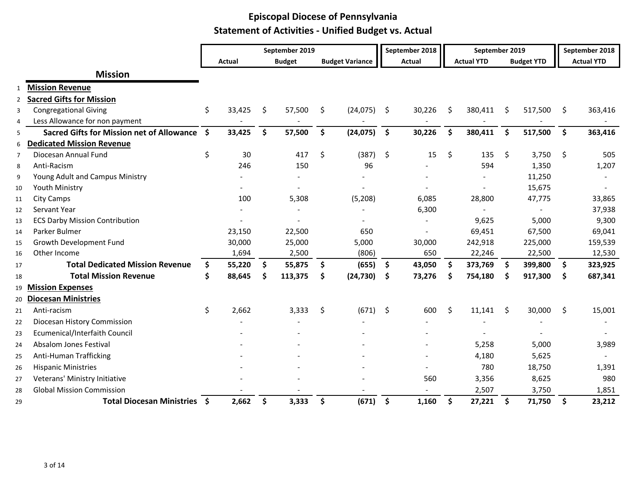|    |                                                  |      |        |    | September 2019 |                        |                    | September 2018           |    | September 2019    |    |                   |    | September 2018    |
|----|--------------------------------------------------|------|--------|----|----------------|------------------------|--------------------|--------------------------|----|-------------------|----|-------------------|----|-------------------|
|    |                                                  |      | Actual |    | <b>Budget</b>  | <b>Budget Variance</b> |                    | <b>Actual</b>            |    | <b>Actual YTD</b> |    | <b>Budget YTD</b> |    | <b>Actual YTD</b> |
|    | <b>Mission</b>                                   |      |        |    |                |                        |                    |                          |    |                   |    |                   |    |                   |
|    | <b>Mission Revenue</b>                           |      |        |    |                |                        |                    |                          |    |                   |    |                   |    |                   |
| 2  | <b>Sacred Gifts for Mission</b>                  |      |        |    |                |                        |                    |                          |    |                   |    |                   |    |                   |
| 3  | <b>Congregational Giving</b>                     | \$   | 33,425 | \$ | 57,500         | \$<br>(24, 075)        | - \$               | 30,226                   | \$ | 380,411           | S. | 517,500           | S. | 363,416           |
| 4  | Less Allowance for non payment                   |      |        |    |                |                        |                    |                          |    |                   |    |                   |    |                   |
| 5  | <b>Sacred Gifts for Mission net of Allowance</b> | - \$ | 33,425 | \$ | 57,500         | \$<br>(24, 075)        | - \$               | 30,226                   | \$ | 380,411           | \$ | 517,500           | \$ | 363,416           |
| 6  | <b>Dedicated Mission Revenue</b>                 |      |        |    |                |                        |                    |                          |    |                   |    |                   |    |                   |
| 7  | Diocesan Annual Fund                             | \$   | 30     |    | 417            | \$<br>(387)            | $\ddot{\varsigma}$ | 15                       | \$ | 135               | \$ | 3,750             | \$ | 505               |
| 8  | Anti-Racism                                      |      | 246    |    | 150            | 96                     |                    |                          |    | 594               |    | 1,350             |    | 1,207             |
| 9  | Young Adult and Campus Ministry                  |      |        |    |                |                        |                    |                          |    |                   |    | 11,250            |    |                   |
| 10 | Youth Ministry                                   |      |        |    |                |                        |                    |                          |    |                   |    | 15,675            |    |                   |
| 11 | City Camps                                       |      | 100    |    | 5,308          | (5, 208)               |                    | 6,085                    |    | 28,800            |    | 47,775            |    | 33,865            |
| 12 | Servant Year                                     |      |        |    |                |                        |                    | 6,300                    |    |                   |    |                   |    | 37,938            |
| 13 | <b>ECS Darby Mission Contribution</b>            |      |        |    |                |                        |                    |                          |    | 9,625             |    | 5,000             |    | 9,300             |
| 14 | Parker Bulmer                                    |      | 23,150 |    | 22,500         | 650                    |                    | $\overline{\phantom{0}}$ |    | 69,451            |    | 67,500            |    | 69,041            |
| 15 | Growth Development Fund                          |      | 30,000 |    | 25,000         | 5,000                  |                    | 30,000                   |    | 242,918           |    | 225,000           |    | 159,539           |
| 16 | Other Income                                     |      | 1,694  |    | 2,500          | (806)                  |                    | 650                      |    | 22,246            |    | 22,500            |    | 12,530            |
| 17 | <b>Total Dedicated Mission Revenue</b>           | \$.  | 55,220 | \$ | 55,875         | \$<br>(655)            | \$                 | 43,050                   | Ŝ. | 373,769           | \$ | 399,800           | \$ | 323,925           |
| 18 | <b>Total Mission Revenue</b>                     | \$   | 88,645 | Š. | 113,375        | \$<br>(24, 730)        | \$                 | 73,276                   | \$ | 754,180           | \$ | 917,300           | \$ | 687,341           |
| 19 | <b>Mission Expenses</b>                          |      |        |    |                |                        |                    |                          |    |                   |    |                   |    |                   |
| 20 | <b>Diocesan Ministries</b>                       |      |        |    |                |                        |                    |                          |    |                   |    |                   |    |                   |
| 21 | Anti-racism                                      | \$   | 2,662  |    | 3,333          | \$<br>(671)            | $\ddot{\varsigma}$ | 600                      | \$ | 11,141            | Ŝ. | 30,000            | \$ | 15,001            |
| 22 | Diocesan History Commission                      |      |        |    |                |                        |                    |                          |    |                   |    |                   |    |                   |
| 23 | Ecumenical/Interfaith Council                    |      |        |    |                |                        |                    |                          |    |                   |    |                   |    |                   |
| 24 | Absalom Jones Festival                           |      |        |    |                |                        |                    |                          |    | 5,258             |    | 5,000             |    | 3,989             |
| 25 | Anti-Human Trafficking                           |      |        |    |                |                        |                    |                          |    | 4,180             |    | 5,625             |    |                   |
| 26 | <b>Hispanic Ministries</b>                       |      |        |    |                |                        |                    |                          |    | 780               |    | 18,750            |    | 1,391             |
| 27 | Veterans' Ministry Initiative                    |      |        |    |                |                        |                    | 560                      |    | 3,356             |    | 8,625             |    | 980               |
| 28 | <b>Global Mission Commission</b>                 |      |        |    |                |                        |                    |                          |    | 2,507             |    | 3,750             |    | 1,851             |
| 29 | <b>Total Diocesan Ministries</b>                 | - \$ | 2,662  | \$ | 3,333          | \$<br>(671)            | $\mathsf{S}$       | 1,160                    | \$ | 27,221            | \$ | 71,750            | \$ | 23,212            |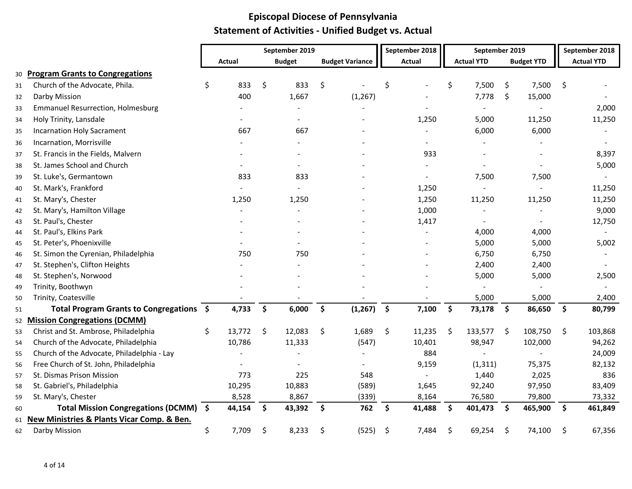|    |                                            | September 2019 |        |                    |                | September 2018         | September 2019  |               |                   |                    | September 2018    |                     |                   |
|----|--------------------------------------------|----------------|--------|--------------------|----------------|------------------------|-----------------|---------------|-------------------|--------------------|-------------------|---------------------|-------------------|
|    |                                            |                | Actual |                    | <b>Budget</b>  | <b>Budget Variance</b> |                 | <b>Actual</b> | <b>Actual YTD</b> |                    | <b>Budget YTD</b> |                     | <b>Actual YTD</b> |
| 30 | <b>Program Grants to Congregations</b>     |                |        |                    |                |                        |                 |               |                   |                    |                   |                     |                   |
| 31 | Church of the Advocate, Phila.             | \$             | 833    | \$                 | 833            | \$                     | \$              |               | \$<br>7,500       | \$                 | 7,500             | \$                  |                   |
| 32 | Darby Mission                              |                | 400    |                    | 1,667          | (1, 267)               |                 |               | 7,778             | \$                 | 15,000            |                     |                   |
| 33 | <b>Emmanuel Resurrection, Holmesburg</b>   |                |        |                    |                |                        |                 |               |                   |                    |                   |                     | 2,000             |
| 34 | Holy Trinity, Lansdale                     |                |        |                    | $\blacksquare$ |                        |                 | 1,250         | 5,000             |                    | 11,250            |                     | 11,250            |
| 35 | <b>Incarnation Holy Sacrament</b>          |                | 667    |                    | 667            |                        |                 |               | 6,000             |                    | 6,000             |                     |                   |
| 36 | Incarnation, Morrisville                   |                |        |                    |                |                        |                 |               |                   |                    |                   |                     |                   |
| 37 | St. Francis in the Fields, Malvern         |                |        |                    |                |                        |                 | 933           |                   |                    |                   |                     | 8,397             |
| 38 | St. James School and Church                |                |        |                    |                |                        |                 |               |                   |                    |                   |                     | 5,000             |
| 39 | St. Luke's, Germantown                     |                | 833    |                    | 833            |                        |                 |               | 7,500             |                    | 7,500             |                     |                   |
| 40 | St. Mark's, Frankford                      |                |        |                    |                |                        |                 | 1,250         |                   |                    |                   |                     | 11,250            |
| 41 | St. Mary's, Chester                        |                | 1,250  |                    | 1,250          |                        |                 | 1,250         | 11,250            |                    | 11,250            |                     | 11,250            |
| 42 | St. Mary's, Hamilton Village               |                |        |                    |                |                        |                 | 1,000         |                   |                    |                   |                     | 9,000             |
| 43 | St. Paul's, Chester                        |                |        |                    |                |                        |                 | 1,417         |                   |                    |                   |                     | 12,750            |
| 44 | St. Paul's, Elkins Park                    |                |        |                    |                |                        |                 |               | 4,000             |                    | 4,000             |                     |                   |
| 45 | St. Peter's, Phoenixville                  |                |        |                    |                |                        |                 |               | 5,000             |                    | 5,000             |                     | 5,002             |
| 46 | St. Simon the Cyrenian, Philadelphia       |                | 750    |                    | 750            |                        |                 |               | 6,750             |                    | 6,750             |                     |                   |
| 47 | St. Stephen's, Clifton Heights             |                |        |                    |                |                        |                 |               | 2,400             |                    | 2,400             |                     |                   |
| 48 | St. Stephen's, Norwood                     |                |        |                    |                |                        |                 |               | 5,000             |                    | 5,000             |                     | 2,500             |
| 49 | Trinity, Boothwyn                          |                |        |                    |                |                        |                 |               |                   |                    |                   |                     |                   |
| 50 | Trinity, Coatesville                       |                |        |                    |                |                        |                 |               | 5,000             |                    | 5,000             |                     | 2,400             |
| 51 | Total Program Grants to Congregations \$   |                | 4,733  | $\mathsf{S}$       | 6,000          | \$<br>(1, 267)         | $\ddot{\bm{s}}$ | 7,100         | \$<br>73,178      | $\dot{\mathsf{s}}$ | 86,650            | $\ddot{\mathsf{s}}$ | 80,799            |
| 52 | <b>Mission Congregations (DCMM)</b>        |                |        |                    |                |                        |                 |               |                   |                    |                   |                     |                   |
| 53 | Christ and St. Ambrose, Philadelphia       | \$             | 13,772 | $\ddot{\varsigma}$ | 12,083         | \$<br>1,689            | \$              | 11,235        | \$<br>133,577     | \$                 | 108,750           | $\ddot{\mathsf{s}}$ | 103,868           |
| 54 | Church of the Advocate, Philadelphia       |                | 10,786 |                    | 11,333         | (547)                  |                 | 10,401        | 98,947            |                    | 102,000           |                     | 94,262            |
| 55 | Church of the Advocate, Philadelphia - Lay |                |        |                    |                |                        |                 | 884           |                   |                    |                   |                     | 24,009            |
| 56 | Free Church of St. John, Philadelphia      |                |        |                    |                |                        |                 | 9,159         | (1, 311)          |                    | 75,375            |                     | 82,132            |
| 57 | St. Dismas Prison Mission                  |                | 773    |                    | 225            | 548                    |                 |               | 1,440             |                    | 2,025             |                     | 836               |
| 58 | St. Gabriel's, Philadelphia                |                | 10,295 |                    | 10,883         | (589)                  |                 | 1,645         | 92,240            |                    | 97,950            |                     | 83,409            |
| 59 | St. Mary's, Chester                        |                | 8,528  |                    | 8,867          | (339)                  |                 | 8,164         | 76,580            |                    | 79,800            |                     | 73,332            |
| 60 | Total Mission Congregations (DCMM) \$      |                | 44,154 | \$                 | 43,392         | \$<br>762              | \$              | 41,488        | \$<br>401,473     | $\mathsf{S}$       | 465,900           | - \$                | 461,849           |
| 61 | New Ministries & Plants Vicar Comp. & Ben. |                |        |                    |                |                        |                 |               |                   |                    |                   |                     |                   |
| 62 | Darby Mission                              | \$             | 7,709  | \$                 | 8,233          | \$<br>(525)            | \$              | 7,484         | \$<br>69,254      | \$                 | 74,100            | \$                  | 67,356            |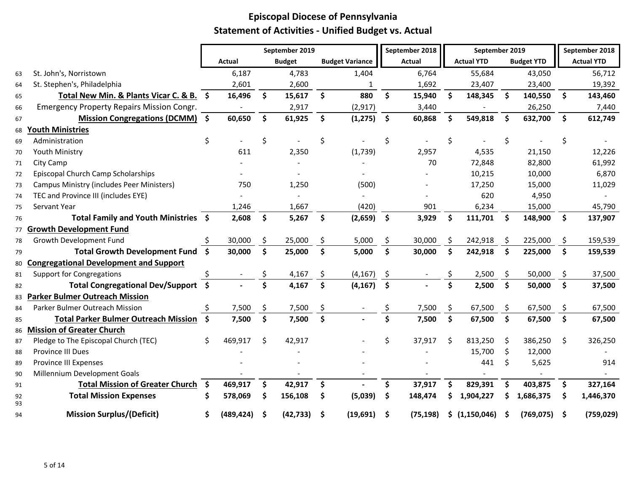|          |                                                  |                     |            |                    | September 2019 |                    |                        |                     | September 2018 |     | September 2019           |                    |                   |                    | September 2018    |
|----------|--------------------------------------------------|---------------------|------------|--------------------|----------------|--------------------|------------------------|---------------------|----------------|-----|--------------------------|--------------------|-------------------|--------------------|-------------------|
|          |                                                  |                     | Actual     |                    | <b>Budget</b>  |                    | <b>Budget Variance</b> |                     | <b>Actual</b>  |     | <b>Actual YTD</b>        |                    | <b>Budget YTD</b> |                    | <b>Actual YTD</b> |
| 63       | St. John's, Norristown                           |                     | 6,187      |                    | 4,783          |                    | 1,404                  |                     | 6,764          |     | 55,684                   |                    | 43,050            |                    | 56,712            |
| 64       | St. Stephen's, Philadelphia                      |                     | 2,601      |                    | 2,600          |                    | 1                      |                     | 1,692          |     | 23,407                   |                    | 23,400            |                    | 19,392            |
| 65       | Total New Min. & Plants Vicar C. & B. \$         |                     | 16,496     | \$                 | 15,617         | $\mathsf{S}$       | 880                    | $\mathsf{\hat{S}}$  | 15,940         | \$. | 148,345                  | \$                 | 140,550           | $\mathsf{\$}$      | 143,460           |
| 66       | <b>Emergency Property Repairs Mission Congr.</b> |                     |            |                    | 2,917          |                    | (2, 917)               |                     | 3,440          |     | $\overline{\phantom{a}}$ |                    | 26,250            |                    | 7,440             |
| 67       | Mission Congregations (DCMM) \$                  |                     | 60,650     | \$                 | 61,925         | $\mathsf{S}$       | (1, 275)               | $\ddot{\mathsf{s}}$ | 60,868         | \$  | 549,818                  | $\dot{\mathsf{s}}$ | 632,700           | $\mathsf{\hat{S}}$ | 612,749           |
| 68       | <b>Youth Ministries</b>                          |                     |            |                    |                |                    |                        |                     |                |     |                          |                    |                   |                    |                   |
| 69       | Administration                                   | \$                  |            | \$                 |                | \$                 |                        | \$                  |                | \$  |                          | \$                 |                   | \$                 |                   |
| 70       | Youth Ministry                                   |                     | 611        |                    | 2,350          |                    | (1,739)                |                     | 2,957          |     | 4,535                    |                    | 21,150            |                    | 12,226            |
| 71       | City Camp                                        |                     |            |                    |                |                    |                        |                     | 70             |     | 72,848                   |                    | 82,800            |                    | 61,992            |
| 72       | Episcopal Church Camp Scholarships               |                     |            |                    |                |                    |                        |                     |                |     | 10,215                   |                    | 10,000            |                    | 6,870             |
| 73       | <b>Campus Ministry (includes Peer Ministers)</b> |                     | 750        |                    | 1,250          |                    | (500)                  |                     |                |     | 17,250                   |                    | 15,000            |                    | 11,029            |
| 74       | TEC and Province III (includes EYE)              |                     |            |                    |                |                    |                        |                     |                |     | 620                      |                    | 4,950             |                    |                   |
| 75       | Servant Year                                     |                     | 1,246      |                    | 1,667          |                    | (420)                  |                     | 901            |     | 6,234                    |                    | 15,000            |                    | 45,790            |
| 76       | Total Family and Youth Ministries \$             |                     | 2,608      | \$                 | 5,267          | $\mathsf{S}$       | (2,659)                | $\ddot{\mathsf{s}}$ | 3,929          | \$  | 111,701                  | \$                 | 148,900           | \$                 | 137,907           |
| 77       | <b>Growth Development Fund</b>                   |                     |            |                    |                |                    |                        |                     |                |     |                          |                    |                   |                    |                   |
| 78       | Growth Development Fund                          |                     | 30,000     | \$                 | 25,000         | \$                 | 5,000                  | \$                  | 30,000         | \$  | 242,918                  | \$                 | 225,000           | \$                 | 159,539           |
| 79       | <b>Total Growth Development Fund</b>             | $\ddot{\mathsf{s}}$ | 30,000     | $\dot{\mathsf{s}}$ | 25,000         | \$                 | 5,000                  | $\mathsf{\dot{S}}$  | 30,000         | Ś   | 242,918                  | Ŝ.                 | 225,000           | $\mathsf{S}$       | 159,539           |
| 80       | <b>Congregational Development and Support</b>    |                     |            |                    |                |                    |                        |                     |                |     |                          |                    |                   |                    |                   |
| 81       | <b>Support for Congregations</b>                 | \$                  |            | \$                 | 4,167          | \$                 | (4, 167)               | \$                  |                | \$  | 2,500                    | \$                 | 50,000            | \$                 | 37,500            |
| 82       | <b>Total Congregational Dev/Support</b>          | - \$                |            | Ś                  | 4,167          | \$                 | (4, 167)               | $\ddot{\bm{\zeta}}$ |                | \$  | 2,500                    | \$                 | 50,000            | \$                 | 37,500            |
| 83       | <b>Parker Bulmer Outreach Mission</b>            |                     |            |                    |                |                    |                        |                     |                |     |                          |                    |                   |                    |                   |
| 84       | Parker Bulmer Outreach Mission                   | \$                  | 7,500      | \$                 | 7,500          | \$                 |                        |                     | 7,500          | \$  | 67,500                   | \$                 | 67,500            | \$                 | 67,500            |
| 85       | <b>Total Parker Bulmer Outreach Mission</b>      | - \$                | 7,500      | \$                 | 7,500          | $\dot{\mathsf{s}}$ |                        | Ś.                  | 7,500          | \$  | 67,500                   | \$                 | 67,500            | $\mathsf{\$}$      | 67,500            |
| 86       | <b>Mission of Greater Church</b>                 |                     |            |                    |                |                    |                        |                     |                |     |                          |                    |                   |                    |                   |
| 87       | Pledge to The Episcopal Church (TEC)             | \$                  | 469,917    | \$                 | 42,917         |                    |                        | \$                  | 37,917         | \$  | 813,250                  | \$                 | 386,250           | -\$                | 326,250           |
| 88       | <b>Province III Dues</b>                         |                     |            |                    |                |                    |                        |                     |                |     | 15,700                   | \$                 | 12,000            |                    |                   |
| 89       | Province III Expenses                            |                     |            |                    |                |                    |                        |                     |                |     | 441                      | \$                 | 5,625             |                    | 914               |
| 90       | Millennium Development Goals                     |                     |            |                    |                |                    |                        |                     |                |     |                          |                    |                   |                    |                   |
| 91       | <b>Total Mission of Greater Church</b>           | $\dot{\mathsf{s}}$  | 469,917    | \$                 | 42,917         | \$                 |                        | \$                  | 37,917         | \$  | 829,391                  | \$                 | 403,875           | \$                 | 327,164           |
| 92<br>93 | <b>Total Mission Expenses</b>                    | Ś                   | 578,069    | Š.                 | 156,108        | \$                 | (5,039)                | \$                  | 148,474        | Ś   | 1,904,227                | S                  | 1,686,375         | S                  | 1,446,370         |
| 94       | <b>Mission Surplus/(Deficit)</b>                 | S                   | (489, 424) | S                  | (42, 733)      | -\$                | (19,691)               | -S                  | (75, 198)      | S   | (1, 150, 046)            |                    | (769, 075)        | -S                 | (759, 029)        |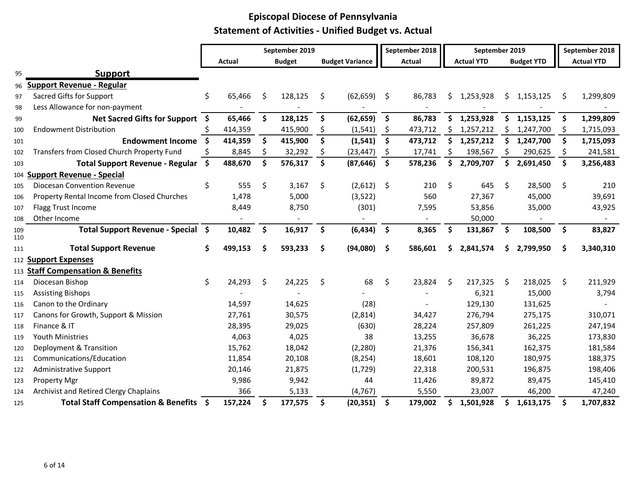|            |                                             |      |         |     | September 2019 |                     |                        |                     | September 2018 |     | September 2019    |     |                   |    | September 2018    |
|------------|---------------------------------------------|------|---------|-----|----------------|---------------------|------------------------|---------------------|----------------|-----|-------------------|-----|-------------------|----|-------------------|
|            |                                             |      | Actual  |     | <b>Budget</b>  |                     | <b>Budget Variance</b> |                     | Actual         |     | <b>Actual YTD</b> |     | <b>Budget YTD</b> |    | <b>Actual YTD</b> |
| 95         | <b>Support</b>                              |      |         |     |                |                     |                        |                     |                |     |                   |     |                   |    |                   |
| 96         | Support Revenue - Regular                   |      |         |     |                |                     |                        |                     |                |     |                   |     |                   |    |                   |
| 97         | Sacred Gifts for Support                    | \$   | 65,466  | S.  | 128,125        | \$                  | (62, 659)              | - \$                | 86,783         | \$  | 1,253,928         | \$. | 1,153,125         | \$ | 1,299,809         |
| 98         | Less Allowance for non-payment              |      |         |     |                |                     |                        |                     |                |     |                   |     |                   |    |                   |
| 99         | Net Sacred Gifts for Support \$             |      | 65,466  | \$  | 128,125        | \$                  | (62, 659)              | \$                  | 86,783         | \$. | 1,253,928         | \$  | 1,153,125         | \$ | 1,299,809         |
| 100        | <b>Endowment Distribution</b>               |      | 414,359 |     | 415,900        | \$,                 | (1, 541)               | \$                  | 473,712        | Ŝ.  | 1,257,212         | S.  | 1,247,700         | S. | 1,715,093         |
| 101        | <b>Endowment Income</b>                     | - Ś  | 414,359 | \$  | 415,900        | \$                  | (1, 541)               | \$                  | 473,712        | \$  | 1,257,212         | \$  | 1,247,700         | \$ | 1,715,093         |
| 102        | Transfers from Closed Church Property Fund  | S    | 8,845   | S   | 32,292         | \$                  | (23, 447)              | \$                  | 17,741         | \$  | 198,567           | \$. | 290,625           | \$ | 241,581           |
| 103        | <b>Total Support Revenue - Regular</b>      | - \$ | 488,670 | \$  | 576,317        | \$                  | (87, 646)              | \$                  | 578,236        | \$  | 2,709,707         | \$  | 2,691,450         | \$ | 3,256,483         |
| 104        | <b>Support Revenue - Special</b>            |      |         |     |                |                     |                        |                     |                |     |                   |     |                   |    |                   |
| 105        | <b>Diocesan Convention Revenue</b>          | \$   | 555     | \$  | 3,167          | \$                  | (2,612)                | $\ddot{\mathsf{s}}$ | 210            | \$  | 645               | \$  | 28,500            | \$ | 210               |
| 106        | Property Rental Income from Closed Churches |      | 1,478   |     | 5,000          |                     | (3,522)                |                     | 560            |     | 27,367            |     | 45,000            |    | 39,691            |
| 107        | Flagg Trust Income                          |      | 8,449   |     | 8,750          |                     | (301)                  |                     | 7,595          |     | 53,856            |     | 35,000            |    | 43,925            |
| 108        | Other Income                                |      |         |     |                |                     |                        |                     |                |     | 50,000            |     |                   |    |                   |
| 109<br>110 | Total Support Revenue - Special \$          |      | 10,482  | \$  | 16,917         | \$                  | (6, 434)               | $\ddot{\bm{\zeta}}$ | 8,365          | \$  | 131,867           | \$  | 108,500           | \$ | 83,827            |
| 111        | <b>Total Support Revenue</b>                | \$   | 499,153 | \$. | 593,233        | \$                  | (94,080)               | -\$                 | 586,601        | \$  | 2,841,574         | S.  | 2,799,950         | \$ | 3,340,310         |
|            | 112 Support Expenses                        |      |         |     |                |                     |                        |                     |                |     |                   |     |                   |    |                   |
|            | 113 Staff Compensation & Benefits           |      |         |     |                |                     |                        |                     |                |     |                   |     |                   |    |                   |
| 114        | Diocesan Bishop                             | \$   | 24,293  | \$  | 24,225         | \$                  | 68                     | \$                  | 23,824         | Ŝ.  | 217,325           | \$  | 218,025           | \$ | 211,929           |
| 115        | <b>Assisting Bishops</b>                    |      |         |     |                |                     |                        |                     |                |     | 6,321             |     | 15,000            |    | 3,794             |
| 116        | Canon to the Ordinary                       |      | 14,597  |     | 14,625         |                     | (28)                   |                     |                |     | 129,130           |     | 131,625           |    |                   |
| 117        | Canons for Growth, Support & Mission        |      | 27,761  |     | 30,575         |                     | (2,814)                |                     | 34,427         |     | 276,794           |     | 275,175           |    | 310,071           |
| 118        | Finance & IT                                |      | 28,395  |     | 29,025         |                     | (630)                  |                     | 28,224         |     | 257,809           |     | 261,225           |    | 247,194           |
| 119        | <b>Youth Ministries</b>                     |      | 4,063   |     | 4,025          |                     | 38                     |                     | 13,255         |     | 36,678            |     | 36,225            |    | 173,830           |
| 120        | Deployment & Transition                     |      | 15,762  |     | 18,042         |                     | (2, 280)               |                     | 21,376         |     | 156,341           |     | 162,375           |    | 181,584           |
| 121        | Communications/Education                    |      | 11,854  |     | 20,108         |                     | (8, 254)               |                     | 18,601         |     | 108,120           |     | 180,975           |    | 188,375           |
| 122        | <b>Administrative Support</b>               |      | 20,146  |     | 21,875         |                     | (1, 729)               |                     | 22,318         |     | 200,531           |     | 196,875           |    | 198,406           |
| 123        | <b>Property Mgr</b>                         |      | 9,986   |     | 9,942          |                     | 44                     |                     | 11,426         |     | 89,872            |     | 89,475            |    | 145,410           |
| 124        | Archivist and Retired Clergy Chaplains      |      | 366     |     | 5,133          |                     | (4, 767)               |                     | 5,550          |     | 23,007            |     | 46,200            |    | 47,240            |
| 125        | Total Staff Compensation & Benefits \$      |      | 157,224 | \$  | 177,575        | $\ddot{\bm{\zeta}}$ | (20, 351)              | <b>S</b>            | 179,002        | \$  | 1,501,928         | S.  | 1,613,175         | \$ | 1,707,832         |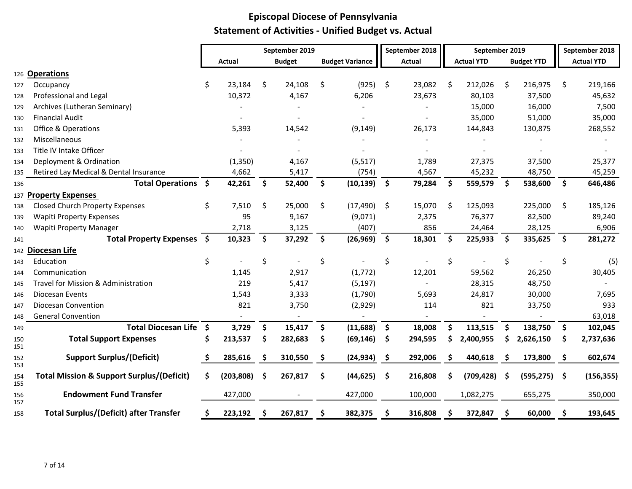|            |                                                      |     |            | September 2019 |                        |                     | September 2018 |              | September 2019    |              |                   |                     | September 2018    |
|------------|------------------------------------------------------|-----|------------|----------------|------------------------|---------------------|----------------|--------------|-------------------|--------------|-------------------|---------------------|-------------------|
|            |                                                      |     | Actual     | <b>Budget</b>  | <b>Budget Variance</b> |                     | Actual         |              | <b>Actual YTD</b> |              | <b>Budget YTD</b> |                     | <b>Actual YTD</b> |
|            | 126 Operations                                       |     |            |                |                        |                     |                |              |                   |              |                   |                     |                   |
| 127        | Occupancy                                            | Ś.  | 23,184     | \$<br>24,108   | \$<br>(925)            | \$                  | 23,082         | Ŝ.           | 212,026           | Ŝ.           | 216,975           | \$                  | 219,166           |
| 128        | Professional and Legal                               |     | 10,372     | 4,167          | 6,206                  |                     | 23,673         |              | 80,103            |              | 37,500            |                     | 45,632            |
| 129        | Archives (Lutheran Seminary)                         |     |            |                |                        |                     |                |              | 15,000            |              | 16,000            |                     | 7,500             |
| 130        | <b>Financial Audit</b>                               |     |            |                |                        |                     |                |              | 35,000            |              | 51,000            |                     | 35,000            |
| 131        | <b>Office &amp; Operations</b>                       |     | 5,393      | 14,542         | (9, 149)               |                     | 26,173         |              | 144,843           |              | 130,875           |                     | 268,552           |
| 132        | Miscellaneous                                        |     |            |                |                        |                     |                |              |                   |              |                   |                     |                   |
| 133        | Title IV Intake Officer                              |     |            |                |                        |                     |                |              |                   |              |                   |                     |                   |
| 134        | Deployment & Ordination                              |     | (1, 350)   | 4,167          | (5, 517)               |                     | 1,789          |              | 27,375            |              | 37,500            |                     | 25,377            |
| 135        | Retired Lay Medical & Dental Insurance               |     | 4,662      | 5,417          | (754)                  |                     | 4,567          |              | 45,232            |              | 48,750            |                     | 45,259            |
| 136        | Total Operations \$                                  |     | 42,261     | \$<br>52,400   | \$<br>(10, 139)        | $\ddot{\bm{\zeta}}$ | 79,284         | $\mathsf{S}$ | 559,579           | Ŝ.           | 538,600           | $\mathsf{\$}$       | 646,486           |
|            | 137 Property Expenses                                |     |            |                |                        |                     |                |              |                   |              |                   |                     |                   |
| 138        | <b>Closed Church Property Expenses</b>               | \$  | 7,510      | \$<br>25,000   | \$<br>(17, 490)        | -\$                 | 15,070         | \$           | 125,093           |              | 225,000           | \$                  | 185,126           |
| 139        | <b>Wapiti Property Expenses</b>                      |     | 95         | 9,167          | (9,071)                |                     | 2,375          |              | 76,377            |              | 82,500            |                     | 89,240            |
| 140        | <b>Wapiti Property Manager</b>                       |     | 2,718      | 3,125          | (407)                  |                     | 856            |              | 24,464            |              | 28,125            |                     | 6,906             |
| 141        | Total Property Expenses \$                           |     | 10,323     | \$<br>37,292   | \$<br>(26, 969)        | $\ddot{\bm{\zeta}}$ | 18,301         | - \$         | 225,933           | $\mathsf{S}$ | 335,625           | $\ddot{\mathsf{s}}$ | 281,272           |
|            | 142 Diocesan Life                                    |     |            |                |                        |                     |                |              |                   |              |                   |                     |                   |
| 143        | Education                                            | \$  |            | \$             | \$                     | \$                  |                | \$           |                   | \$           |                   | \$                  | (5)               |
| 144        | Communication                                        |     | 1,145      | 2,917          | (1,772)                |                     | 12,201         |              | 59,562            |              | 26,250            |                     | 30,405            |
| 145        | Travel for Mission & Administration                  |     | 219        | 5,417          | (5, 197)               |                     |                |              | 28,315            |              | 48,750            |                     |                   |
| 146        | Diocesan Events                                      |     | 1,543      | 3,333          | (1,790)                |                     | 5,693          |              | 24,817            |              | 30,000            |                     | 7,695             |
| 147        | <b>Diocesan Convention</b>                           |     | 821        | 3,750          | (2,929)                |                     | 114            |              | 821               |              | 33,750            |                     | 933               |
| 148        | <b>General Convention</b>                            |     |            | $\sim$         | $\blacksquare$         |                     |                |              |                   |              |                   |                     | 63,018            |
| 149        | <b>Total Diocesan Life</b>                           | \$  | 3,729      | \$<br>15,417   | \$<br>(11,688)         | \$                  | 18,008         | S            | 113,515           | S            | 138,750           | \$                  | 102,045           |
| 150<br>151 | <b>Total Support Expenses</b>                        |     | 213,537    | \$<br>282,683  | \$<br>(69, 146)        | \$                  | 294,595        |              | 2,400,955         |              | 2,626,150         | S                   | 2,737,636         |
| 152<br>153 | <b>Support Surplus/(Deficit)</b>                     | \$. | 285,616    | \$<br>310,550  | \$<br>(24, 934)        | -\$                 | 292,006        | S            | 440,618           | \$,          | 173,800           | \$                  | 602,674           |
| 154<br>155 | <b>Total Mission &amp; Support Surplus/(Deficit)</b> | S.  | (203, 808) | \$<br>267,817  | \$<br>$(44, 625)$ \$   |                     | 216,808        | S            | (709, 428)        | -\$          | $(595, 275)$ \$   |                     | (156, 355)        |
| 156<br>157 | <b>Endowment Fund Transfer</b>                       |     | 427,000    |                | 427,000                |                     | 100,000        |              | 1,082,275         |              | 655,275           |                     | 350,000           |
| 158        | <b>Total Surplus/(Deficit) after Transfer</b>        |     | 223,192    | 267,817        | 382,375                |                     | 316,808        |              | 372,847           |              | 60,000            |                     | 193,645           |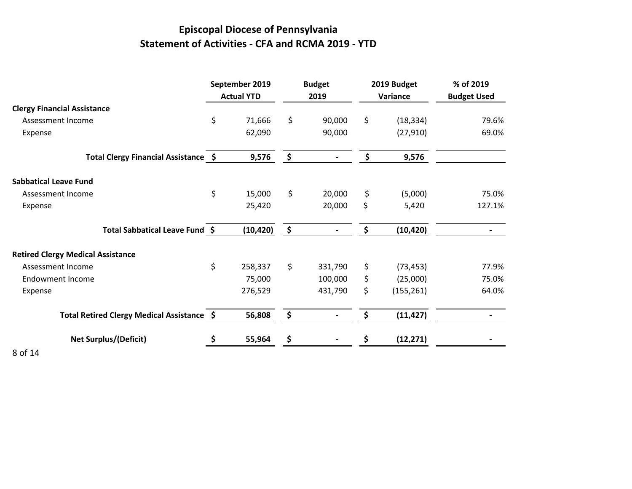# **Episcopal Diocese of Pennsylvania Statement of Activities - CFA and RCMA 2019 - YTD**

|                                            | September 2019<br><b>Actual YTD</b> |                     | <b>Budget</b><br>2019 | 2019 Budget<br>Variance | % of 2019<br><b>Budget Used</b> |
|--------------------------------------------|-------------------------------------|---------------------|-----------------------|-------------------------|---------------------------------|
| <b>Clergy Financial Assistance</b>         |                                     |                     |                       |                         |                                 |
| Assessment Income                          | \$<br>71,666                        | \$                  | 90,000                | \$<br>(18, 334)         | 79.6%                           |
| Expense                                    | 62,090                              |                     | 90,000                | (27, 910)               | 69.0%                           |
| Total Clergy Financial Assistance \$       | 9,576                               | \$                  |                       | \$<br>9,576             |                                 |
| <b>Sabbatical Leave Fund</b>               |                                     |                     |                       |                         |                                 |
| Assessment Income                          | \$<br>15,000                        | \$                  | 20,000                | \$<br>(5,000)           | 75.0%                           |
| Expense                                    | 25,420                              |                     | 20,000                | \$<br>5,420             | 127.1%                          |
| Total Sabbatical Leave Fund \$             | (10, 420)                           | $\ddot{\bm{\zeta}}$ |                       | \$<br>(10, 420)         |                                 |
| <b>Retired Clergy Medical Assistance</b>   |                                     |                     |                       |                         |                                 |
| Assessment Income                          | \$<br>258,337                       | \$                  | 331,790               | \$<br>(73, 453)         | 77.9%                           |
| <b>Endowment Income</b>                    | 75,000                              |                     | 100,000               | \$<br>(25,000)          | 75.0%                           |
| Expense                                    | 276,529                             |                     | 431,790               | \$<br>(155, 261)        | 64.0%                           |
| Total Retired Clergy Medical Assistance \$ | 56,808                              | $\frac{1}{2}$       |                       | \$<br>(11, 427)         |                                 |
| <b>Net Surplus/(Deficit)</b>               | 55,964                              |                     |                       | (12, 271)               |                                 |
| .                                          |                                     |                     |                       |                         |                                 |

8 of 14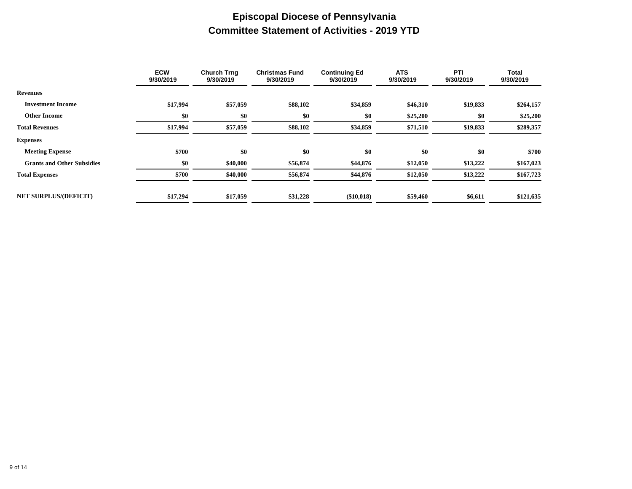### **Episcopal Diocese of Pennsylvania Committee Statement of Activities - 2019 YTD**

|                                   | <b>ECW</b><br>9/30/2019 | <b>Church Trng</b><br>9/30/2019 | <b>Christmas Fund</b><br>9/30/2019 | <b>Continuing Ed</b><br>9/30/2019 | <b>ATS</b><br>9/30/2019 | PTI<br>9/30/2019 | <b>Total</b><br>9/30/2019 |
|-----------------------------------|-------------------------|---------------------------------|------------------------------------|-----------------------------------|-------------------------|------------------|---------------------------|
| <b>Revenues</b>                   |                         |                                 |                                    |                                   |                         |                  |                           |
| <b>Investment Income</b>          | \$17,994                | \$57,059                        | \$88,102                           | \$34,859                          | \$46,310                | \$19,833         | \$264,157                 |
| <b>Other Income</b>               | \$0                     | \$0                             | \$0                                | \$0                               | \$25,200                | \$0              | \$25,200                  |
| <b>Total Revenues</b>             | \$17,994                | \$57,059                        | \$88,102                           | \$34,859                          | \$71,510                | \$19,833         | \$289,357                 |
| <b>Expenses</b>                   |                         |                                 |                                    |                                   |                         |                  |                           |
| <b>Meeting Expense</b>            | \$700                   | \$0                             | \$0                                | \$0                               | \$0                     | \$0              | \$700                     |
| <b>Grants and Other Subsidies</b> | \$0                     | \$40,000                        | \$56,874                           | \$44,876                          | \$12,050                | \$13,222         | \$167,023                 |
| <b>Total Expenses</b>             | \$700                   | \$40,000                        | \$56,874                           | \$44,876                          | \$12,050                | \$13,222         | \$167,723                 |
| <b>NET SURPLUS/(DEFICIT)</b>      | \$17,294                | \$17,059                        | \$31,228                           | (\$10,018)                        | \$59,460                | \$6,611          | \$121,635                 |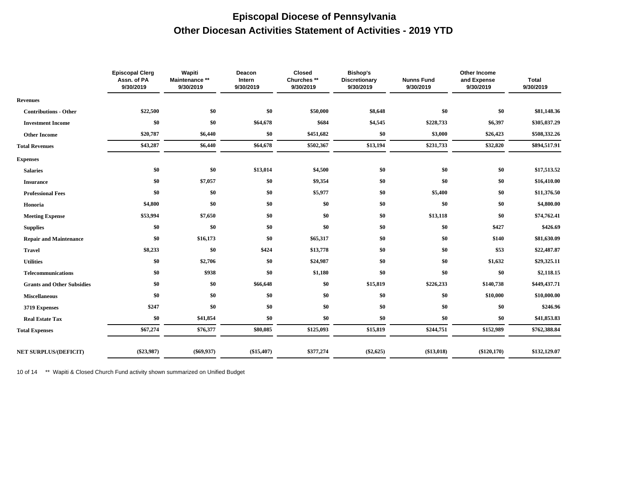#### **Episcopal Diocese of Pennsylvania Other Diocesan Activities Statement of Activities - 2019 YTD**

|                                   | <b>Episcopal Clerg</b><br>Assn. of PA<br>9/30/2019 | Wapiti<br>Maintenance **<br>9/30/2019 | Deacon<br>Intern<br>9/30/2019 | Closed<br>Churches **<br>9/30/2019 | <b>Bishop's</b><br>Discretionary<br>9/30/2019 | <b>Nunns Fund</b><br>9/30/2019 | Other Income<br>and Expense<br>9/30/2019 | <b>Total</b><br>9/30/2019 |
|-----------------------------------|----------------------------------------------------|---------------------------------------|-------------------------------|------------------------------------|-----------------------------------------------|--------------------------------|------------------------------------------|---------------------------|
| <b>Revenues</b>                   |                                                    |                                       |                               |                                    |                                               |                                |                                          |                           |
| <b>Contributions - Other</b>      | \$22,500                                           | \$0                                   | \$0                           | \$50,000                           | \$8,648                                       | \$0                            | \$0                                      | \$81,148.36               |
| <b>Investment Income</b>          | \$0                                                | \$0                                   | \$64,678                      | \$684                              | \$4,545                                       | \$228,733                      | \$6,397                                  | \$305,037.29              |
| <b>Other Income</b>               | \$20,787                                           | \$6,440                               | \$0                           | \$451,682                          | \$0                                           | \$3,000                        | \$26,423                                 | \$508,332.26              |
| <b>Total Revenues</b>             | \$43,287                                           | \$6,440                               | \$64,678                      | \$502,367                          | \$13,194                                      | \$231,733                      | \$32,820                                 | \$894,517.91              |
| <b>Expenses</b>                   |                                                    |                                       |                               |                                    |                                               |                                |                                          |                           |
| <b>Salaries</b>                   | \$0                                                | \$0                                   | \$13,014                      | \$4,500                            | \$0                                           | \$0                            | \$0                                      | \$17,513.52               |
| <b>Insurance</b>                  | \$0                                                | \$7,057                               | \$0                           | \$9,354                            | \$0                                           | \$0                            | \$0                                      | \$16,410.00               |
| <b>Professional Fees</b>          | \$0                                                | \$0                                   | \$0                           | \$5,977                            | \$0                                           | \$5,400                        | \$0                                      | \$11,376.50               |
| Honoria                           | \$4,800                                            | \$0                                   | \$0                           | \$0                                | \$0                                           | \$0                            | \$0                                      | \$4,800.00                |
| <b>Meeting Expense</b>            | \$53,994                                           | \$7,650                               | \$0                           | \$0                                | \$0                                           | \$13,118                       | \$0                                      | \$74,762.41               |
| <b>Supplies</b>                   | \$0                                                | \$0                                   | \$0                           | \$0                                | \$0                                           | \$0                            | \$427                                    | \$426.69                  |
| <b>Repair and Maintenance</b>     | \$0                                                | \$16,173                              | \$0                           | \$65,317                           | \$0                                           | \$0                            | \$140                                    | \$81,630.09               |
| <b>Travel</b>                     | \$8,233                                            | \$0                                   | \$424                         | \$13,778                           | \$0                                           | \$0                            | \$53                                     | \$22,487.87               |
| <b>Utilities</b>                  | \$0                                                | \$2,706                               | \$0                           | \$24,987                           | \$0                                           | \$0                            | \$1,632                                  | \$29,325.11               |
| <b>Telecommunications</b>         | \$0                                                | \$938                                 | \$0                           | \$1,180                            | \$0                                           | \$0                            | \$0                                      | \$2,118.15                |
| <b>Grants and Other Subsidies</b> | \$0                                                | \$0                                   | \$66,648                      | \$0                                | \$15,819                                      | \$226,233                      | \$140,738                                | \$449,437.71              |
| <b>Miscellaneous</b>              | \$0                                                | \$0                                   | \$0                           | \$0                                | \$0                                           | \$0                            | \$10,000                                 | \$10,000.00               |
| 3719 Expenses                     | \$247                                              | \$0                                   | \$0                           | \$0                                | \$0                                           | \$0                            | \$0                                      | \$246.96                  |
| <b>Real Estate Tax</b>            | \$0                                                | \$41,854                              | \$0                           | \$0                                | \$0                                           | \$0                            | \$0                                      | \$41,853.83               |
| <b>Total Expenses</b>             | \$67,274                                           | \$76,377                              | \$80,085                      | \$125,093                          | \$15,819                                      | \$244,751                      | \$152,989                                | \$762,388.84              |
| <b>NET SURPLUS/(DEFICIT)</b>      | $(\$23,987)$                                       | $(\$69,937)$                          | (\$15,407)                    | \$377,274                          | $(\$2,625)$                                   | (\$13,018)                     | (\$120,170)                              | \$132,129.07              |
|                                   |                                                    |                                       |                               |                                    |                                               |                                |                                          |                           |

10 of 14 \*\* Wapiti & Closed Church Fund activity shown summarized on Unified Budget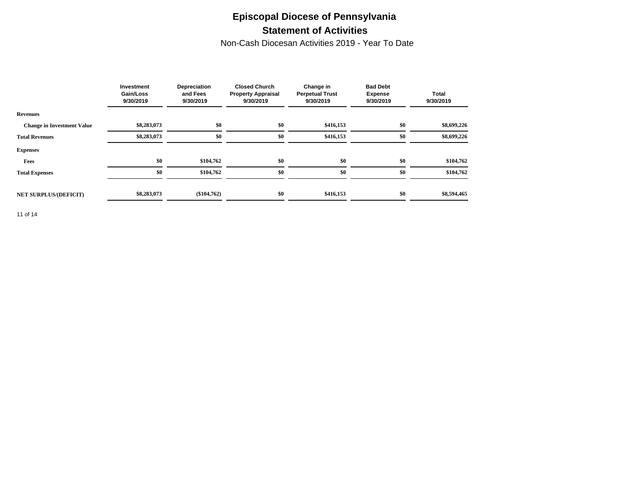### **Episcopal Diocese of Pennsylvania Statement of Activities**

Non-Cash Diocesan Activities 2019 - Year To Date

|                                   | Investment<br><b>Gain/Loss</b><br>9/30/2019 | Depreciation<br>and Fees<br>9/30/2019 | <b>Closed Church</b><br><b>Property Appraisal</b><br>9/30/2019 | Change in<br><b>Perpetual Trust</b><br>9/30/2019 | <b>Bad Debt</b><br><b>Expense</b><br>9/30/2019 | <b>Total</b><br>9/30/2019 |
|-----------------------------------|---------------------------------------------|---------------------------------------|----------------------------------------------------------------|--------------------------------------------------|------------------------------------------------|---------------------------|
| <b>Revenues</b>                   |                                             |                                       |                                                                |                                                  |                                                |                           |
| <b>Change in Investment Value</b> | \$8,283,073                                 | \$0                                   | \$0                                                            | \$416,153                                        | \$0                                            | \$8,699,226               |
| <b>Total Revenues</b>             | \$8,283,073                                 | \$0                                   | \$0                                                            | \$416,153                                        | \$0                                            | \$8,699,226               |
| <b>Expenses</b>                   |                                             |                                       |                                                                |                                                  |                                                |                           |
| Fees                              | \$0                                         | \$104,762                             | \$0                                                            | \$0                                              | \$0                                            | \$104,762                 |
| <b>Total Expenses</b>             | \$0                                         | \$104,762                             | \$0                                                            | \$0                                              | \$0                                            | \$104,762                 |
|                                   |                                             |                                       |                                                                |                                                  |                                                |                           |
| <b>NET SURPLUS/(DEFICIT)</b>      | \$8,283,073                                 | $(\$104,762)$                         | \$0                                                            | \$416,153                                        | \$0                                            | \$8,594,465               |

11 of 14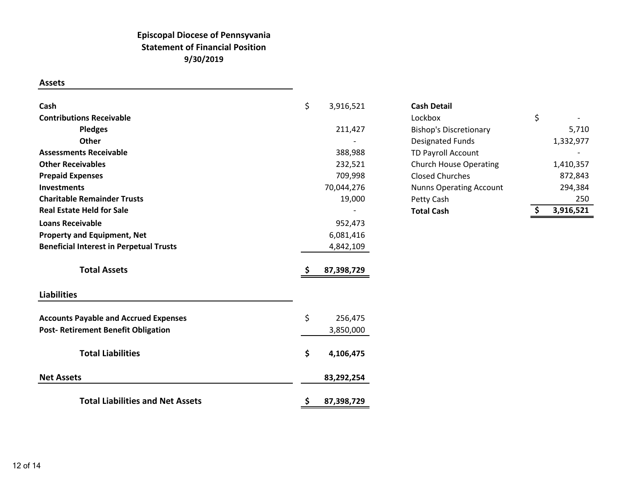#### **Episcopal Diocese of Pennsyvania Statement of Financial Position 9/30/2019**

**Assets**

| Cash                                           | \$<br>3,916,521  | <b>Cash Detail</b>             |                 |
|------------------------------------------------|------------------|--------------------------------|-----------------|
| <b>Contributions Receivable</b>                |                  | Lockbox                        | \$              |
| <b>Pledges</b>                                 | 211,427          | <b>Bishop's Discretionary</b>  | 5,710           |
| <b>Other</b>                                   |                  | <b>Designated Funds</b>        | 1,332,977       |
| <b>Assessments Receivable</b>                  | 388,988          | <b>TD Payroll Account</b>      |                 |
| <b>Other Receivables</b>                       | 232,521          | <b>Church House Operating</b>  | 1,410,357       |
| <b>Prepaid Expenses</b>                        | 709,998          | <b>Closed Churches</b>         | 872,843         |
| Investments                                    | 70,044,276       | <b>Nunns Operating Account</b> | 294,384         |
| <b>Charitable Remainder Trusts</b>             | 19,000           | Petty Cash                     | 250             |
| <b>Real Estate Held for Sale</b>               |                  | <b>Total Cash</b>              | \$<br>3,916,521 |
| <b>Loans Receivable</b>                        | 952,473          |                                |                 |
| <b>Property and Equipment, Net</b>             | 6,081,416        |                                |                 |
| <b>Beneficial Interest in Perpetual Trusts</b> | 4,842,109        |                                |                 |
| <b>Total Assets</b>                            | 87,398,729       |                                |                 |
| <b>Liabilities</b>                             |                  |                                |                 |
| <b>Accounts Payable and Accrued Expenses</b>   | \$<br>256,475    |                                |                 |
| <b>Post- Retirement Benefit Obligation</b>     | 3,850,000        |                                |                 |
| <b>Total Liabilities</b>                       | \$<br>4,106,475  |                                |                 |
| <b>Net Assets</b>                              | 83,292,254       |                                |                 |
| <b>Total Liabilities and Net Assets</b>        | \$<br>87,398,729 |                                |                 |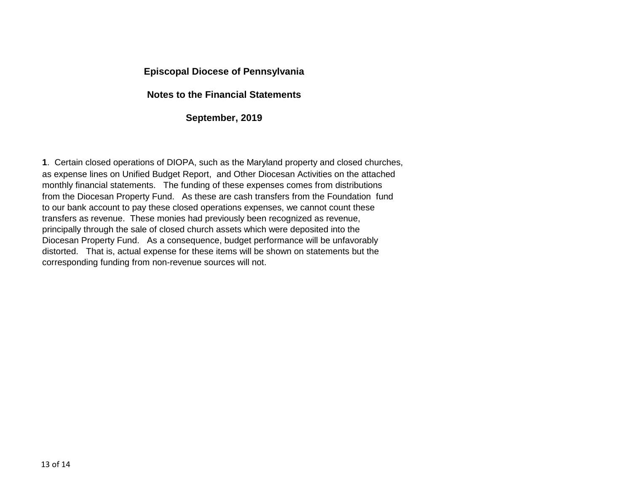#### **Episcopal Diocese of Pennsylvania**

#### **Notes to the Financial Statements**

#### **September, 2019**

**1**. Certain closed operations of DIOPA, such as the Maryland property and closed churches, as expense lines on Unified Budget Report, and Other Diocesan Activities on the attached monthly financial statements. The funding of these expenses comes from distributions from the Diocesan Property Fund. As these are cash transfers from the Foundation fund to our bank account to pay these closed operations expenses, we cannot count these transfers as revenue. These monies had previously been recognized as revenue, principally through the sale of closed church assets which were deposited into the Diocesan Property Fund. As a consequence, budget performance will be unfavorably distorted. That is, actual expense for these items will be shown on statements but the corresponding funding from non-revenue sources will not.